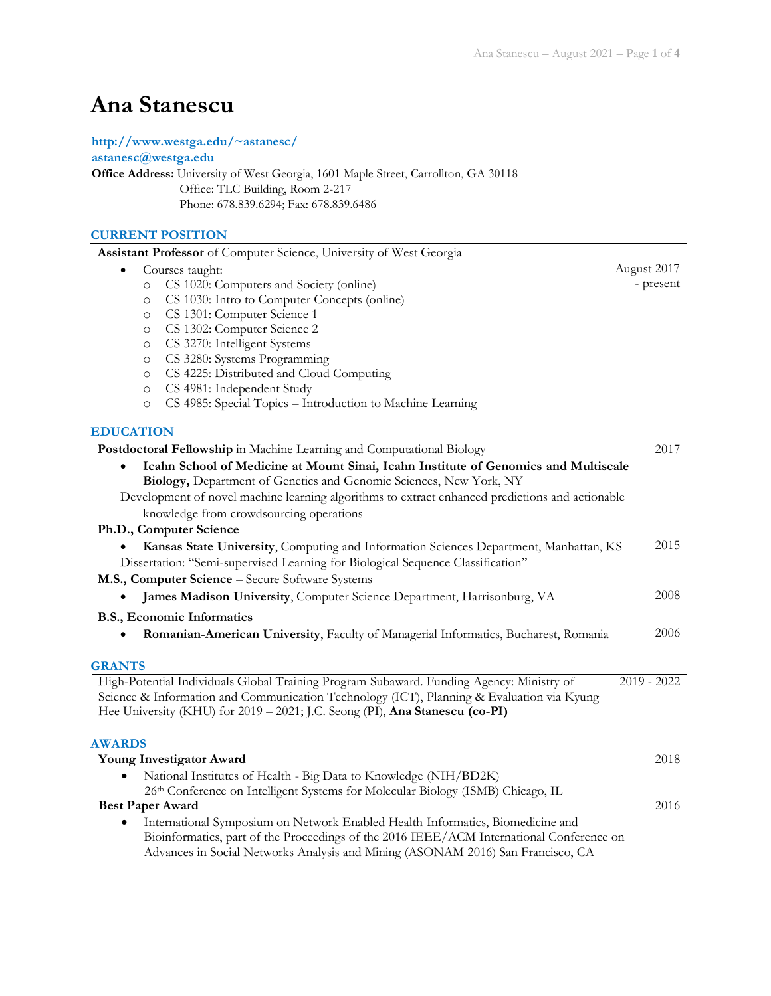# **Ana Stanescu**

#### **<http://www.westga.edu/~astanesc/>**

**[astanesc@westga.edu](mailto:astanesc@westga.edu)**

**Office Address:** University of West Georgia, 1601 Maple Street, Carrollton, GA 30118 Office: TLC Building, Room 2-217 Phone: 678.839.6294; Fax: 678.839.6486

#### **CURRENT POSITION**

| Assistant Professor of Computer Science, University of West Georgia                                                                                       |               |
|-----------------------------------------------------------------------------------------------------------------------------------------------------------|---------------|
| Courses taught:                                                                                                                                           | August 2017   |
| CS 1020: Computers and Society (online)<br>$\circ$                                                                                                        | - present     |
| CS 1030: Intro to Computer Concepts (online)<br>$\circ$                                                                                                   |               |
| CS 1301: Computer Science 1<br>$\circ$                                                                                                                    |               |
| CS 1302: Computer Science 2<br>$\circ$                                                                                                                    |               |
| CS 3270: Intelligent Systems<br>O                                                                                                                         |               |
| CS 3280: Systems Programming<br>O                                                                                                                         |               |
| CS 4225: Distributed and Cloud Computing<br>$\circ$                                                                                                       |               |
| CS 4981: Independent Study<br>$\circ$                                                                                                                     |               |
| CS 4985: Special Topics - Introduction to Machine Learning<br>$\circ$                                                                                     |               |
| <b>EDUCATION</b>                                                                                                                                          |               |
| Postdoctoral Fellowship in Machine Learning and Computational Biology                                                                                     | 2017          |
| Icahn School of Medicine at Mount Sinai, Icahn Institute of Genomics and Multiscale<br>Biology, Department of Genetics and Genomic Sciences, New York, NY |               |
| Development of novel machine learning algorithms to extract enhanced predictions and actionable                                                           |               |
| knowledge from crowdsourcing operations                                                                                                                   |               |
| Ph.D., Computer Science                                                                                                                                   |               |
| Kansas State University, Computing and Information Sciences Department, Manhattan, KS                                                                     | 2015          |
| Dissertation: "Semi-supervised Learning for Biological Sequence Classification"                                                                           |               |
| M.S., Computer Science - Secure Software Systems                                                                                                          |               |
| James Madison University, Computer Science Department, Harrisonburg, VA                                                                                   | 2008          |
| B.S., Economic Informatics                                                                                                                                |               |
| Romanian-American University, Faculty of Managerial Informatics, Bucharest, Romania                                                                       | 2006          |
|                                                                                                                                                           |               |
| <b>GRANTS</b>                                                                                                                                             |               |
| High-Potential Individuals Global Training Program Subaward. Funding Agency: Ministry of                                                                  | $2019 - 2022$ |
| Science & Information and Communication Technology (ICT), Planning & Evaluation via Kyung                                                                 |               |
| Hee University (KHU) for 2019 - 2021; J.C. Seong (PI), Ana Stanescu (co-PI)                                                                               |               |
| <b>AWARDS</b>                                                                                                                                             |               |
| Young Investigator Award                                                                                                                                  | 2018          |
| National Institutes of Health - Big Data to Knowledge (NIH/BD2K)                                                                                          |               |
| 26th Conference on Intelligent Systems for Molecular Biology (ISMB) Chicago, IL                                                                           |               |
| <b>Best Paper Award</b>                                                                                                                                   | 2016          |
| International Symposium on Network Enabled Health Informatics, Biomedicine and                                                                            |               |
| Bioinformatics, part of the Proceedings of the 2016 IEEE/ACM International Conference on                                                                  |               |
| Advances in Social Networks Analysis and Mining (ASONAM 2016) San Francisco, CA                                                                           |               |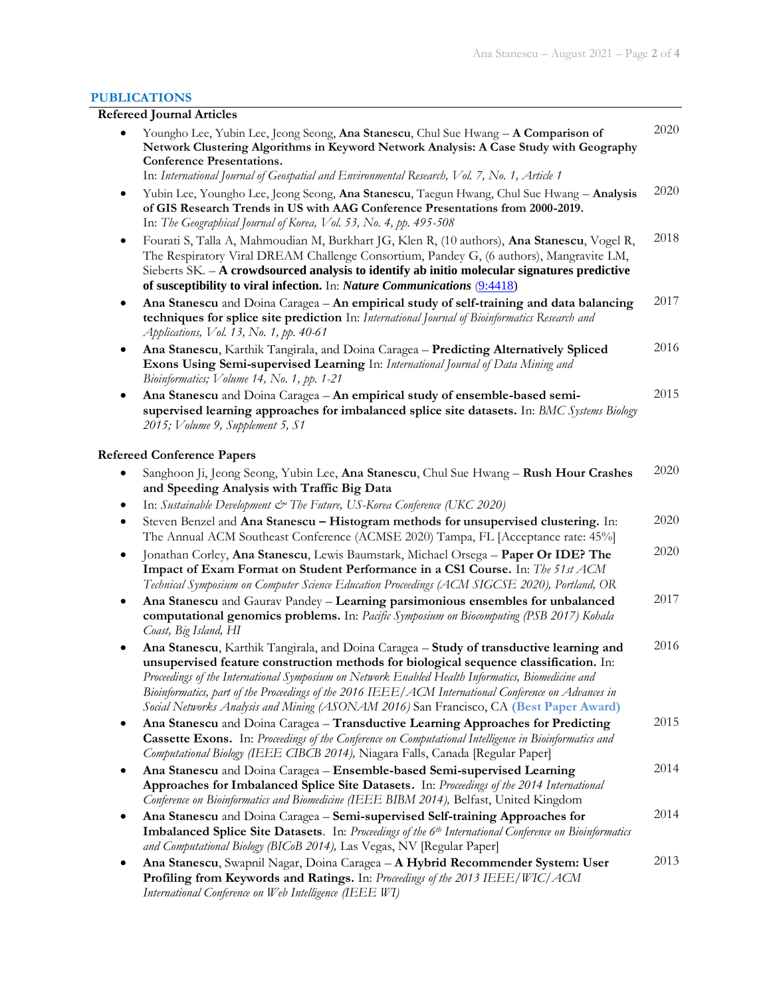#### **PUBLICATIONS**

## **Refereed Journal Articles**

|           | Youngho Lee, Yubin Lee, Jeong Seong, Ana Stanescu, Chul Sue Hwang - A Comparison of<br>Network Clustering Algorithms in Keyword Network Analysis: A Case Study with Geography<br><b>Conference Presentations.</b><br>In: International Journal of Geospatial and Environmental Research, Vol. 7, No. 1, Article 1                                                                                                                                                                       | 2020 |
|-----------|-----------------------------------------------------------------------------------------------------------------------------------------------------------------------------------------------------------------------------------------------------------------------------------------------------------------------------------------------------------------------------------------------------------------------------------------------------------------------------------------|------|
| $\bullet$ | Yubin Lee, Youngho Lee, Jeong Seong, Ana Stanescu, Taegun Hwang, Chul Sue Hwang - Analysis<br>of GIS Research Trends in US with AAG Conference Presentations from 2000-2019.<br>In: The Geographical Journal of Korea, Vol. 53, No. 4, pp. 495-508                                                                                                                                                                                                                                      | 2020 |
| $\bullet$ | Fourati S, Talla A, Mahmoudian M, Burkhart JG, Klen R, (10 authors), Ana Stanescu, Vogel R,<br>The Respiratory Viral DREAM Challenge Consortium, Pandey G, (6 authors), Mangravite LM,<br>Sieberts SK. - A crowdsourced analysis to identify ab initio molecular signatures predictive<br>of susceptibility to viral infection. In: Nature Communications (9:4418)                                                                                                                      | 2018 |
| $\bullet$ | Ana Stanescu and Doina Caragea - An empirical study of self-training and data balancing<br>techniques for splice site prediction In: International Journal of Bioinformatics Research and<br>Applications, Vol. 13, No. 1, pp. 40-61                                                                                                                                                                                                                                                    | 2017 |
| ٠         | Ana Stanescu, Karthik Tangirala, and Doina Caragea - Predicting Alternatively Spliced<br>Exons Using Semi-supervised Learning In: International Journal of Data Mining and<br>Bioinformatics; Volume 14, No. 1, pp. 1-21                                                                                                                                                                                                                                                                | 2016 |
| ٠         | Ana Stanescu and Doina Caragea - An empirical study of ensemble-based semi-<br>supervised learning approaches for imbalanced splice site datasets. In: BMC Systems Biology<br>2015; Volume 9, Supplement 5, S1                                                                                                                                                                                                                                                                          | 2015 |
|           | <b>Refereed Conference Papers</b>                                                                                                                                                                                                                                                                                                                                                                                                                                                       |      |
| $\bullet$ | Sanghoon Ji, Jeong Seong, Yubin Lee, Ana Stanescu, Chul Sue Hwang - Rush Hour Crashes<br>and Speeding Analysis with Traffic Big Data<br>In: Sustainable Development & The Future, US-Korea Conference (UKC 2020)                                                                                                                                                                                                                                                                        | 2020 |
| $\bullet$ | Steven Benzel and Ana Stanescu - Histogram methods for unsupervised clustering. In:<br>The Annual ACM Southeast Conference (ACMSE 2020) Tampa, FL [Acceptance rate: 45%]                                                                                                                                                                                                                                                                                                                | 2020 |
| $\bullet$ | Jonathan Corley, Ana Stanescu, Lewis Baumstark, Michael Orsega - Paper Or IDE? The<br>Impact of Exam Format on Student Performance in a CS1 Course. In: The 51st ACM<br>Technical Symposium on Computer Science Education Proceedings (ACM SIGCSE 2020), Portland, OR                                                                                                                                                                                                                   | 2020 |
| $\bullet$ | Ana Stanescu and Gaurav Pandey - Learning parsimonious ensembles for unbalanced<br>computational genomics problems. In: Pacific Symposium on Biocomputing (PSB 2017) Kohala<br>Coast, Big Island, HI                                                                                                                                                                                                                                                                                    | 2017 |
| ٠         | Ana Stanescu, Karthik Tangirala, and Doina Caragea - Study of transductive learning and<br>unsupervised feature construction methods for biological sequence classification. In:<br>Proceedings of the International Symposium on Network Enabled Health Informatics, Biomedicine and<br>Bioinformatics, part of the Proceedings of the 2016 IEEE/ACM International Conference on Advances in<br>Social Networks Analysis and Mining (ASONAM 2016) San Francisco, CA (Best Paper Award) | 2016 |
| $\bullet$ | Ana Stanescu and Doina Caragea - Transductive Learning Approaches for Predicting<br>Cassette Exons. In: Proceedings of the Conference on Computational Intelligence in Bioinformatics and<br>Computational Biology (IEEE CIBCB 2014), Niagara Falls, Canada [Regular Paper]                                                                                                                                                                                                             | 2015 |
| $\bullet$ | Ana Stanescu and Doina Caragea - Ensemble-based Semi-supervised Learning<br>Approaches for Imbalanced Splice Site Datasets. In: Proceedings of the 2014 International<br>Conference on Bioinformatics and Biomedicine (IEEE BIBM 2014), Belfast, United Kingdom                                                                                                                                                                                                                         | 2014 |
| $\bullet$ | Ana Stanescu and Doina Caragea - Semi-supervised Self-training Approaches for<br><b>Imbalanced Splice Site Datasets.</b> In: Proceedings of the $6th$ International Conference on Bioinformatics<br>and Computational Biology (BICoB 2014), Las Vegas, NV [Regular Paper]                                                                                                                                                                                                               | 2014 |
| ٠         | Ana Stanescu, Swapnil Nagar, Doina Caragea - A Hybrid Recommender System: User<br>Profiling from Keywords and Ratings. In: Proceedings of the 2013 IEEE/WIC/ACM<br>International Conference on Web Intelligence (IEEE WI)                                                                                                                                                                                                                                                               | 2013 |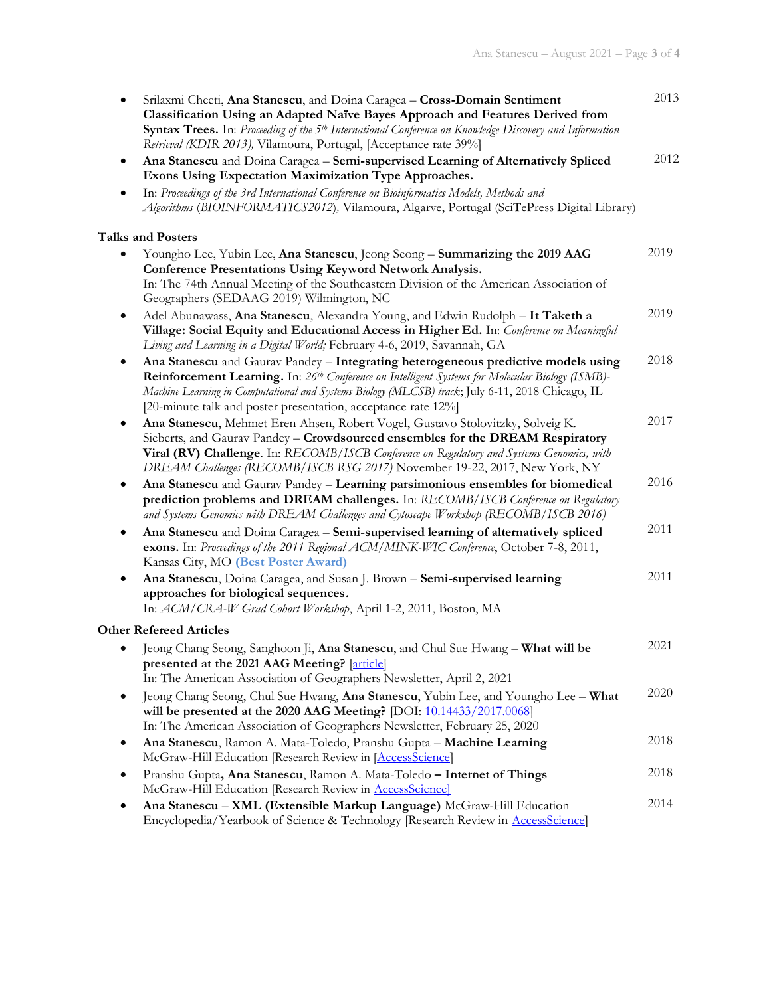| Srilaxmi Cheeti, Ana Stanescu, and Doina Caragea - Cross-Domain Sentiment<br>٠<br>Classification Using an Adapted Naïve Bayes Approach and Features Derived from<br>Syntax Trees. In: Proceeding of the 5 <sup>th</sup> International Conference on Knowledge Discovery and Information<br>Retrieval (KDIR 2013), Vilamoura, Portugal, [Acceptance rate 39%]                 | 2013 |  |
|------------------------------------------------------------------------------------------------------------------------------------------------------------------------------------------------------------------------------------------------------------------------------------------------------------------------------------------------------------------------------|------|--|
| Ana Stanescu and Doina Caragea - Semi-supervised Learning of Alternatively Spliced<br>٠<br>Exons Using Expectation Maximization Type Approaches.<br>In: Proceedings of the 3rd International Conference on Bioinformatics Models, Methods and                                                                                                                                | 2012 |  |
| Algorithms (BIOINFORMATICS2012), Vilamoura, Algarve, Portugal (SciTePress Digital Library)                                                                                                                                                                                                                                                                                   |      |  |
| <b>Talks and Posters</b>                                                                                                                                                                                                                                                                                                                                                     |      |  |
| Youngho Lee, Yubin Lee, Ana Stanescu, Jeong Seong - Summarizing the 2019 AAG<br><b>Conference Presentations Using Keyword Network Analysis.</b><br>In: The 74th Annual Meeting of the Southeastern Division of the American Association of<br>Geographers (SEDAAG 2019) Wilmington, NC                                                                                       | 2019 |  |
| Adel Abunawass, Ana Stanescu, Alexandra Young, and Edwin Rudolph - It Taketh a<br>$\bullet$<br>Village: Social Equity and Educational Access in Higher Ed. In: Conference on Meaningful<br>Living and Learning in a Digital World; February 4-6, 2019, Savannah, GA                                                                                                          | 2019 |  |
| Ana Stanescu and Gaurav Pandey - Integrating heterogeneous predictive models using<br>٠<br>Reinforcement Learning. In: 26 <sup>th</sup> Conference on Intelligent Systems for Molecular Biology (ISMB)-<br>Machine Learning in Computational and Systems Biology (MLCSB) track; July 6-11, 2018 Chicago, IL<br>[20-minute talk and poster presentation, acceptance rate 12%] | 2018 |  |
| Ana Stanescu, Mehmet Eren Ahsen, Robert Vogel, Gustavo Stolovitzky, Solveig K.<br>٠<br>Sieberts, and Gaurav Pandey - Crowdsourced ensembles for the DREAM Respiratory<br>Viral (RV) Challenge. In: RECOMB/ISCB Conference on Regulatory and Systems Genomics, with<br>DREAM Challenges (RECOMB/ISCB RSG 2017) November 19-22, 2017, New York, NY                             | 2017 |  |
| Ana Stanescu and Gaurav Pandey - Learning parsimonious ensembles for biomedical<br>٠<br>prediction problems and DREAM challenges. In: RECOMB/ISCB Conference on Regulatory<br>and Systems Genomics with DREAM Challenges and Cytoscape Workshop (RECOMB/ISCB 2016)                                                                                                           | 2016 |  |
| Ana Stanescu and Doina Caragea - Semi-supervised learning of alternatively spliced<br>٠<br>exons. In: Proceedings of the 2011 Regional ACM/MINK-WIC Conference, October 7-8, 2011,<br>Kansas City, MO (Best Poster Award)                                                                                                                                                    | 2011 |  |
| Ana Stanescu, Doina Caragea, and Susan J. Brown - Semi-supervised learning<br>approaches for biological sequences.<br>In: ACM/CRA-W Grad Cohort Workshop, April 1-2, 2011, Boston, MA                                                                                                                                                                                        | 2011 |  |
| <b>Other Refereed Articles</b>                                                                                                                                                                                                                                                                                                                                               |      |  |
| Jeong Chang Seong, Sanghoon Ji, Ana Stanescu, and Chul Sue Hwang - What will be<br>presented at the 2021 AAG Meeting? [article]<br>In: The American Association of Geographers Newsletter, April 2, 2021                                                                                                                                                                     | 2021 |  |
| Jeong Chang Seong, Chul Sue Hwang, Ana Stanescu, Yubin Lee, and Youngho Lee - What<br>$\bullet$<br>will be presented at the 2020 AAG Meeting? [DOI: 10.14433/2017.0068]<br>In: The American Association of Geographers Newsletter, February 25, 2020                                                                                                                         | 2020 |  |
| Ana Stanescu, Ramon A. Mata-Toledo, Pranshu Gupta - Machine Learning<br>$\bullet$<br>McGraw-Hill Education [Research Review in [AccessScience]                                                                                                                                                                                                                               | 2018 |  |
| Pranshu Gupta, Ana Stanescu, Ramon A. Mata-Toledo - Internet of Things<br>McGraw-Hill Education [Research Review in <b>AccessScience</b> ]                                                                                                                                                                                                                                   | 2018 |  |
| Ana Stanescu - XML (Extensible Markup Language) McGraw-Hill Education<br>Encyclopedia/Yearbook of Science & Technology [Research Review in AccessScience]                                                                                                                                                                                                                    | 2014 |  |